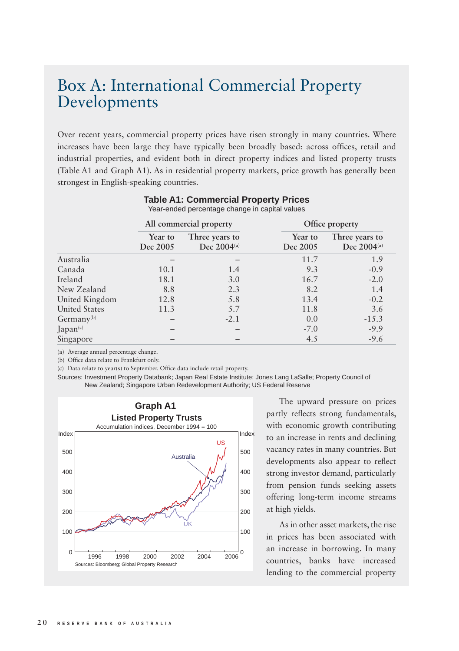## Box A: International Commercial Property Developments

Over recent years, commercial property prices have risen strongly in many countries. Where increases have been large they have typically been broadly based: across offices, retail and industrial properties, and evident both in direct property indices and listed property trusts (Table A1 and Graph A1). As in residential property markets, price growth has generally been strongest in English-speaking countries.

|                        | All commercial property |                                    | Office property     |                                    |
|------------------------|-------------------------|------------------------------------|---------------------|------------------------------------|
|                        | Year to<br>Dec 2005     | Three years to<br>Dec $2004^{(a)}$ | Year to<br>Dec 2005 | Three years to<br>Dec $2004^{(a)}$ |
| Australia              |                         |                                    | 11.7                | 1.9                                |
| Canada                 | 10.1                    | 1.4                                | 9.3                 | $-0.9$                             |
| Ireland                | 18.1                    | 3.0                                | 16.7                | $-2.0$                             |
| New Zealand            | 8.8                     | 2.3                                | 8.2                 | 1.4                                |
| United Kingdom         | 12.8                    | 5.8                                | 13.4                | $-0.2$                             |
| <b>United States</b>   | 11.3                    | 5.7                                | 11.8                | 3.6                                |
| Germany <sup>(b)</sup> |                         | $-2.1$                             | 0.0                 | $-15.3$                            |
| Japan <sup>(c)</sup>   |                         |                                    | $-7.0$              | $-9.9$                             |
| Singapore              |                         |                                    | 4.5                 | $-9.6$                             |

## **Table A1: Commercial Property Prices**

Year-ended percentage change in capital values

(a) Average annual percentage change.

(b) Office data relate to Frankfurt only.

(c) Data relate to year(s) to September. Office data include retail property.

Sources: Investment Property Databank; Japan Real Estate Institute; Jones Lang LaSalle; Property Council of New Zealand; Singapore Urban Redevelopment Authority; US Federal Reserve



The upward pressure on prices partly reflects strong fundamentals, with economic growth contributing to an increase in rents and declining vacancy rates in many countries. But developments also appear to reflect strong investor demand, particularly from pension funds seeking assets offering long-term income streams at high yields.

As in other asset markets, the rise in prices has been associated with an increase in borrowing. In many countries, banks have increased lending to the commercial property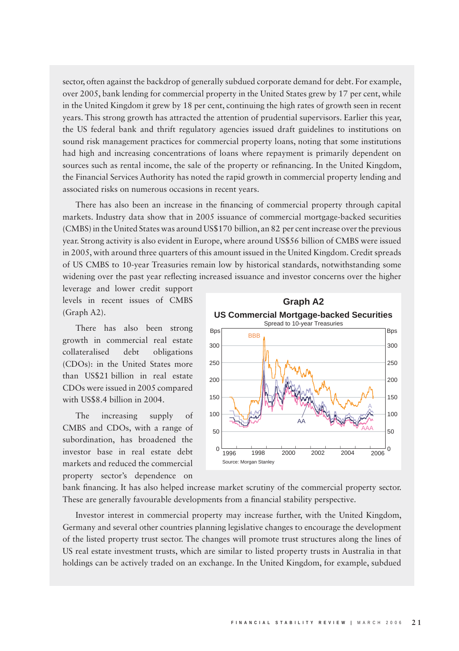sector, often against the backdrop of generally subdued corporate demand for debt. For example, over 2005, bank lending for commercial property in the United States grew by 17 per cent, while in the United Kingdom it grew by 18 per cent, continuing the high rates of growth seen in recent years. This strong growth has attracted the attention of prudential supervisors. Earlier this year, the US federal bank and thrift regulatory agencies issued draft guidelines to institutions on sound risk management practices for commercial property loans, noting that some institutions had high and increasing concentrations of loans where repayment is primarily dependent on sources such as rental income, the sale of the property or refinancing. In the United Kingdom, the Financial Services Authority has noted the rapid growth in commercial property lending and associated risks on numerous occasions in recent years.

There has also been an increase in the financing of commercial property through capital markets. Industry data show that in 2005 issuance of commercial mortgage-backed securities (CMBS) in the United States was around US\$170 billion, an 82 per cent increase over the previous year. Strong activity is also evident in Europe, where around US\$56 billion of CMBS were issued in 2005, with around three quarters of this amount issued in the United Kingdom. Credit spreads of US CMBS to 10-year Treasuries remain low by historical standards, notwithstanding some widening over the past year reflecting increased issuance and investor concerns over the higher

leverage and lower credit support levels in recent issues of CMBS (Graph A2).

There has also been strong growth in commercial real estate collateralised debt obligations (CDOs): in the United States more than US\$21 billion in real estate CDOs were issued in 2005 compared with US\$8.4 billion in 2004.

The increasing supply of CMBS and CDOs, with a range of subordination, has broadened the investor base in real estate debt markets and reduced the commercial property sector's dependence on



bank financing. It has also helped increase market scrutiny of the commercial property sector. These are generally favourable developments from a financial stability perspective.

Investor interest in commercial property may increase further, with the United Kingdom, Germany and several other countries planning legislative changes to encourage the development of the listed property trust sector. The changes will promote trust structures along the lines of US real estate investment trusts, which are similar to listed property trusts in Australia in that holdings can be actively traded on an exchange. In the United Kingdom, for example, subdued